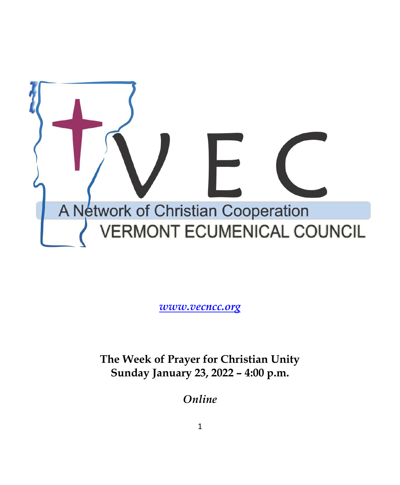

*www.vecncc.org*

**The Week of Prayer for Christian Unity Sunday January 23, 2022 – 4:00 p.m.**

*Online*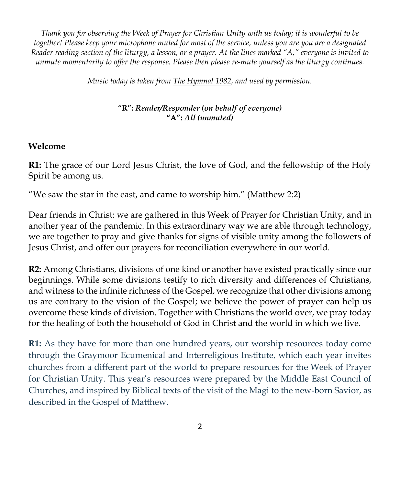*Thank you for observing the Week of Prayer for Christian Unity with us today; it is wonderful to be together! Please keep your microphone muted for most of the service, unless you are you are a designated Reader reading section of the liturgy, a lesson, or a prayer. At the lines marked "A," everyone is invited to unmute momentarily to offer the response. Please then please re-mute yourself as the liturgy continues.*

*Music today is taken from The Hymnal 1982, and used by permission.*

### **"R":** *Reader/Responder (on behalf of everyone)* **"A":** *All (unmuted)*

### **Welcome**

**R1:** The grace of our Lord Jesus Christ, the love of God, and the fellowship of the Holy Spirit be among us.

"We saw the star in the east, and came to worship him." (Matthew 2:2)

Dear friends in Christ: we are gathered in this Week of Prayer for Christian Unity, and in another year of the pandemic. In this extraordinary way we are able through technology, we are together to pray and give thanks for signs of visible unity among the followers of Jesus Christ, and offer our prayers for reconciliation everywhere in our world.

**R2:** Among Christians, divisions of one kind or another have existed practically since our beginnings. While some divisions testify to rich diversity and differences of Christians, and witness to the infinite richness of the Gospel, we recognize that other divisions among us are contrary to the vision of the Gospel; we believe the power of prayer can help us overcome these kinds of division. Together with Christians the world over, we pray today for the healing of both the household of God in Christ and the world in which we live.

**R1:** As they have for more than one hundred years, our worship resources today come through the Graymoor Ecumenical and Interreligious Institute, which each year invites churches from a different part of the world to prepare resources for the Week of Prayer for Christian Unity. This year's resources were prepared by the Middle East Council of Churches, and inspired by Biblical texts of the visit of the Magi to the new-born Savior, as described in the Gospel of Matthew.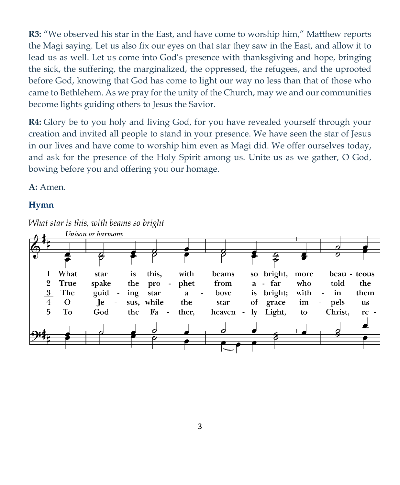**R3:** "We observed his star in the East, and have come to worship him," Matthew reports the Magi saying. Let us also fix our eyes on that star they saw in the East, and allow it to lead us as well. Let us come into God's presence with thanksgiving and hope, bringing the sick, the suffering, the marginalized, the oppressed, the refugees, and the uprooted before God, knowing that God has come to light our way no less than that of those who came to Bethlehem. As we pray for the unity of the Church, may we and our communities become lights guiding others to Jesus the Savior.

**R4:** Glory be to you holy and living God, for you have revealed yourself through your creation and invited all people to stand in your presence. We have seen the star of Jesus in our lives and have come to worship him even as Magi did. We offer ourselves today, and ask for the presence of the Holy Spirit among us. Unite us as we gather, O God, bowing before you and offering you our homage.

**A:** Amen.

### **Hymn**

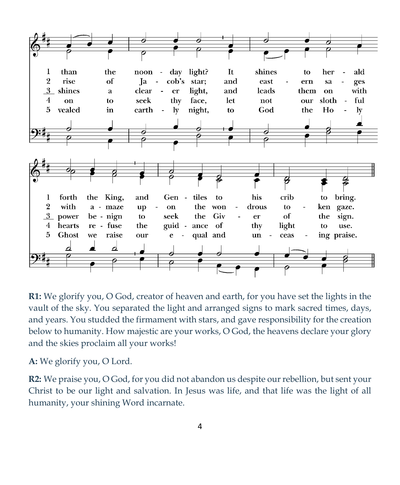

**R1:** We glorify you, O God, creator of heaven and earth, for you have set the lights in the vault of the sky. You separated the light and arranged signs to mark sacred times, days, and years. You studded the firmament with stars, and gave responsibility for the creation below to humanity. How majestic are your works, O God, the heavens declare your glory and the skies proclaim all your works!

**A:** We glorify you, O Lord.

**R2:** We praise you, O God, for you did not abandon us despite our rebellion, but sent your Christ to be our light and salvation. In Jesus was life, and that life was the light of all humanity, your shining Word incarnate.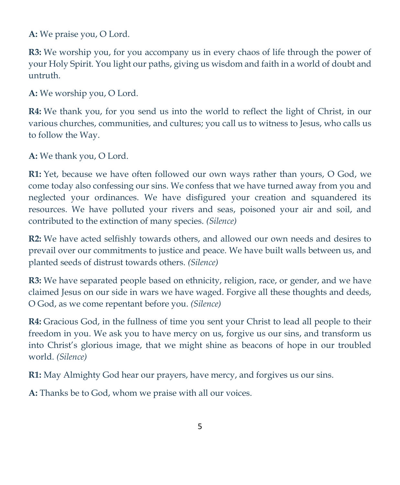**A:** We praise you, O Lord.

**R3:** We worship you, for you accompany us in every chaos of life through the power of your Holy Spirit. You light our paths, giving us wisdom and faith in a world of doubt and untruth.

**A:** We worship you, O Lord.

**R4:** We thank you, for you send us into the world to reflect the light of Christ, in our various churches, communities, and cultures; you call us to witness to Jesus, who calls us to follow the Way.

**A:** We thank you, O Lord.

**R1:** Yet, because we have often followed our own ways rather than yours, O God, we come today also confessing our sins. We confess that we have turned away from you and neglected your ordinances. We have disfigured your creation and squandered its resources. We have polluted your rivers and seas, poisoned your air and soil, and contributed to the extinction of many species. *(Silence)*

**R2:** We have acted selfishly towards others, and allowed our own needs and desires to prevail over our commitments to justice and peace. We have built walls between us, and planted seeds of distrust towards others. *(Silence)*

**R3:** We have separated people based on ethnicity, religion, race, or gender, and we have claimed Jesus on our side in wars we have waged. Forgive all these thoughts and deeds, O God, as we come repentant before you. *(Silence)*

**R4:** Gracious God, in the fullness of time you sent your Christ to lead all people to their freedom in you. We ask you to have mercy on us, forgive us our sins, and transform us into Christ's glorious image, that we might shine as beacons of hope in our troubled world. *(Silence)*

**R1:** May Almighty God hear our prayers, have mercy, and forgives us our sins.

**A:** Thanks be to God, whom we praise with all our voices.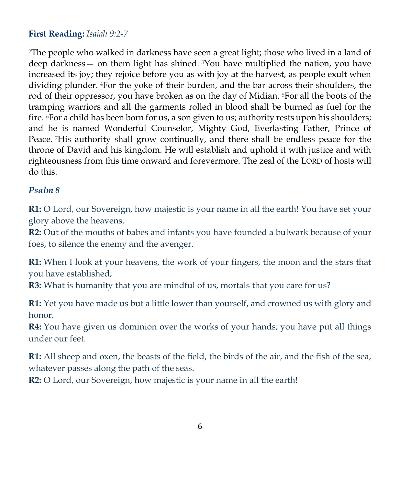### **First Reading:** *Isaiah 9:2-7*

<sup>2</sup>The people who walked in darkness have seen a great light; those who lived in a land of deep darkness — on them light has shined.  $3$ You have multiplied the nation, you have increased its joy; they rejoice before you as with joy at the harvest, as people exult when dividing plunder. <sup>4</sup>For the yoke of their burden, and the bar across their shoulders, the rod of their oppressor, you have broken as on the day of Midian. <sup>5</sup>For all the boots of the tramping warriors and all the garments rolled in blood shall be burned as fuel for the fire. <sup>6</sup>For a child has been born for us, a son given to us; authority rests upon his shoulders; and he is named Wonderful Counselor, Mighty God, Everlasting Father, Prince of Peace. <sup>7</sup>His authority shall grow continually, and there shall be endless peace for the throne of David and his kingdom. He will establish and uphold it with justice and with righteousness from this time onward and forevermore. The zeal of the LORD of hosts will do this.

# *Psalm 8*

**R1:** O Lord, our Sovereign, how majestic is your name in all the earth! You have set your glory above the heavens.

**R2:** Out of the mouths of babes and infants you have founded a bulwark because of your foes, to silence the enemy and the avenger.

**R1:** When I look at your heavens, the work of your fingers, the moon and the stars that you have established;

**R3:** What is humanity that you are mindful of us, mortals that you care for us?

**R1:** Yet you have made us but a little lower than yourself, and crowned us with glory and honor.

**R4:** You have given us dominion over the works of your hands; you have put all things under our feet.

**R1:** All sheep and oxen, the beasts of the field, the birds of the air, and the fish of the sea, whatever passes along the path of the seas.

**R2:** O Lord, our Sovereign, how majestic is your name in all the earth!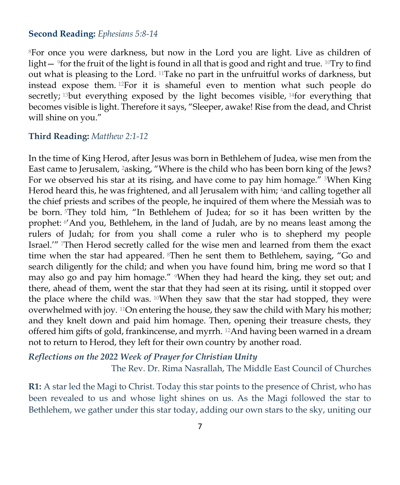#### **Second Reading:** *Ephesians 5:8-14*

<sup>8</sup>For once you were darkness, but now in the Lord you are light. Live as children of light — <sup>9</sup>for the fruit of the light is found in all that is good and right and true. <sup>10</sup>Try to find out what is pleasing to the Lord. <sup>11</sup>Take no part in the unfruitful works of darkness, but instead expose them. <sup>12</sup>For it is shameful even to mention what such people do secretly;  $13$  but everything exposed by the light becomes visible,  $14$  for everything that becomes visible is light. Therefore it says, "Sleeper, awake! Rise from the dead, and Christ will shine on you."

#### **Third Reading:** *Matthew 2:1-12*

In the time of King Herod, after Jesus was born in Bethlehem of Judea, wise men from the East came to Jerusalem, <sup>2</sup>asking, "Where is the child who has been born king of the Jews? For we observed his star at its rising, and have come to pay him homage." <sup>3</sup>When King Herod heard this, he was frightened, and all Jerusalem with him; 4 and calling together all the chief priests and scribes of the people, he inquired of them where the Messiah was to be born. <sup>5</sup>They told him, "In Bethlehem of Judea; for so it has been written by the prophet: <sup>6</sup>'And you, Bethlehem, in the land of Judah, are by no means least among the rulers of Judah; for from you shall come a ruler who is to shepherd my people Israel.'" <sup>7</sup>Then Herod secretly called for the wise men and learned from them the exact time when the star had appeared. <sup>8</sup>Then he sent them to Bethlehem, saying, "Go and search diligently for the child; and when you have found him, bring me word so that I may also go and pay him homage." <sup>9</sup>When they had heard the king, they set out; and there, ahead of them, went the star that they had seen at its rising, until it stopped over the place where the child was. <sup>10</sup>When they saw that the star had stopped, they were overwhelmed with joy. <sup>11</sup>On entering the house, they saw the child with Mary his mother; and they knelt down and paid him homage. Then, opening their treasure chests, they offered him gifts of gold, frankincense, and myrrh. <sup>12</sup>And having been warned in a dream not to return to Herod, they left for their own country by another road.

*Reflections on the 2022 Week of Prayer for Christian Unity*

The Rev. Dr. Rima Nasrallah, The Middle East Council of Churches

**R1:** A star led the Magi to Christ. Today this star points to the presence of Christ, who has been revealed to us and whose light shines on us. As the Magi followed the star to Bethlehem, we gather under this star today, adding our own stars to the sky, uniting our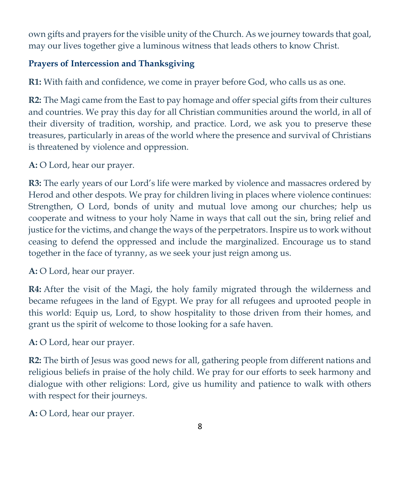own gifts and prayers for the visible unity of the Church. As we journey towards that goal, may our lives together give a luminous witness that leads others to know Christ.

# **Prayers of Intercession and Thanksgiving**

**R1:** With faith and confidence, we come in prayer before God, who calls us as one.

**R2:** The Magi came from the East to pay homage and offer special gifts from their cultures and countries. We pray this day for all Christian communities around the world, in all of their diversity of tradition, worship, and practice. Lord, we ask you to preserve these treasures, particularly in areas of the world where the presence and survival of Christians is threatened by violence and oppression.

### **A:** O Lord, hear our prayer.

**R3:** The early years of our Lord's life were marked by violence and massacres ordered by Herod and other despots. We pray for children living in places where violence continues: Strengthen, O Lord, bonds of unity and mutual love among our churches; help us cooperate and witness to your holy Name in ways that call out the sin, bring relief and justice for the victims, and change the ways of the perpetrators. Inspire us to work without ceasing to defend the oppressed and include the marginalized. Encourage us to stand together in the face of tyranny, as we seek your just reign among us.

### **A:** O Lord, hear our prayer.

**R4:** After the visit of the Magi, the holy family migrated through the wilderness and became refugees in the land of Egypt. We pray for all refugees and uprooted people in this world: Equip us, Lord, to show hospitality to those driven from their homes, and grant us the spirit of welcome to those looking for a safe haven.

### **A:** O Lord, hear our prayer.

**R2:** The birth of Jesus was good news for all, gathering people from different nations and religious beliefs in praise of the holy child. We pray for our efforts to seek harmony and dialogue with other religions: Lord, give us humility and patience to walk with others with respect for their journeys.

**A:** O Lord, hear our prayer.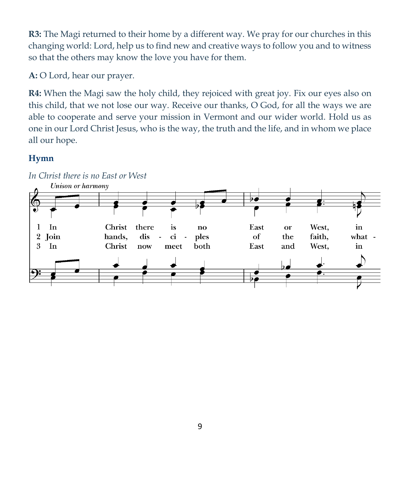**R3:** The Magi returned to their home by a different way. We pray for our churches in this changing world: Lord, help us to find new and creative ways to follow you and to witness so that the others may know the love you have for them.

**A:** O Lord, hear our prayer.

**R4:** When the Magi saw the holy child, they rejoiced with great joy. Fix our eyes also on this child, that we not lose our way. Receive our thanks, O God, for all the ways we are able to cooperate and serve your mission in Vermont and our wider world. Hold us as one in our Lord Christ Jesus, who is the way, the truth and the life, and in whom we place all our hope.

# **Hymn**

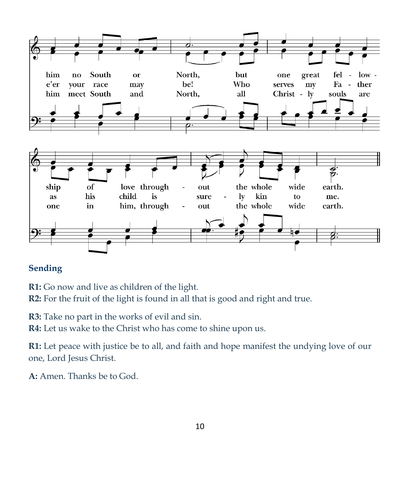

# **Sending**

**R1:** Go now and live as children of the light.

**R2:** For the fruit of the light is found in all that is good and right and true.

**R3:** Take no part in the works of evil and sin.

**R4:** Let us wake to the Christ who has come to shine upon us.

**R1:** Let peace with justice be to all, and faith and hope manifest the undying love of our one, Lord Jesus Christ.

**A:** Amen. Thanks be to God.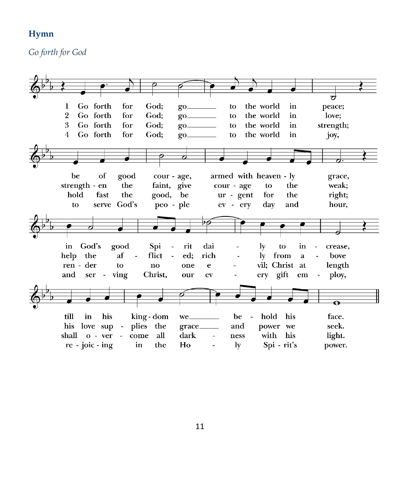#### **Hymn**

*Go forth for God*